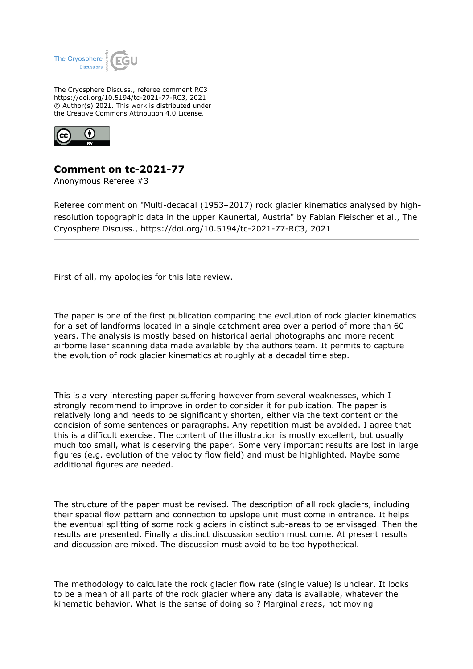

The Cryosphere Discuss., referee comment RC3 https://doi.org/10.5194/tc-2021-77-RC3, 2021 © Author(s) 2021. This work is distributed under the Creative Commons Attribution 4.0 License.



## **Comment on tc-2021-77**

Anonymous Referee #3

Referee comment on "Multi-decadal (1953–2017) rock glacier kinematics analysed by highresolution topographic data in the upper Kaunertal, Austria" by Fabian Fleischer et al., The Cryosphere Discuss., https://doi.org/10.5194/tc-2021-77-RC3, 2021

First of all, my apologies for this late review.

The paper is one of the first publication comparing the evolution of rock glacier kinematics for a set of landforms located in a single catchment area over a period of more than 60 years. The analysis is mostly based on historical aerial photographs and more recent airborne laser scanning data made available by the authors team. It permits to capture the evolution of rock glacier kinematics at roughly at a decadal time step.

This is a very interesting paper suffering however from several weaknesses, which I strongly recommend to improve in order to consider it for publication. The paper is relatively long and needs to be significantly shorten, either via the text content or the concision of some sentences or paragraphs. Any repetition must be avoided. I agree that this is a difficult exercise. The content of the illustration is mostly excellent, but usually much too small, what is deserving the paper. Some very important results are lost in large figures (e.g. evolution of the velocity flow field) and must be highlighted. Maybe some additional figures are needed.

The structure of the paper must be revised. The description of all rock glaciers, including their spatial flow pattern and connection to upslope unit must come in entrance. It helps the eventual splitting of some rock glaciers in distinct sub-areas to be envisaged. Then the results are presented. Finally a distinct discussion section must come. At present results and discussion are mixed. The discussion must avoid to be too hypothetical.

The methodology to calculate the rock glacier flow rate (single value) is unclear. It looks to be a mean of all parts of the rock glacier where any data is available, whatever the kinematic behavior. What is the sense of doing so ? Marginal areas, not moving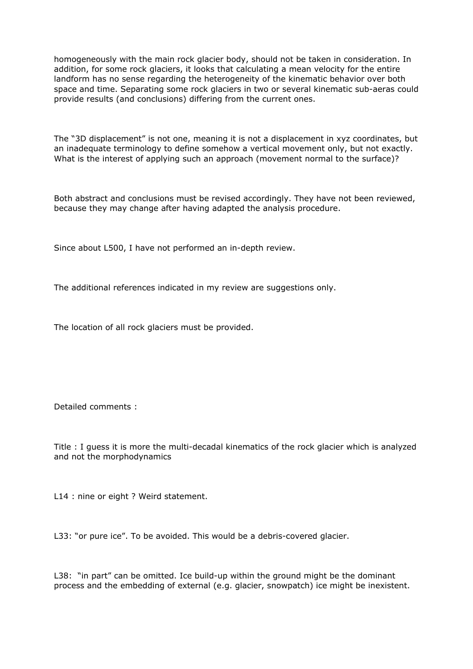homogeneously with the main rock glacier body, should not be taken in consideration. In addition, for some rock glaciers, it looks that calculating a mean velocity for the entire landform has no sense regarding the heterogeneity of the kinematic behavior over both space and time. Separating some rock glaciers in two or several kinematic sub-aeras could provide results (and conclusions) differing from the current ones.

The "3D displacement" is not one, meaning it is not a displacement in xyz coordinates, but an inadequate terminology to define somehow a vertical movement only, but not exactly. What is the interest of applying such an approach (movement normal to the surface)?

Both abstract and conclusions must be revised accordingly. They have not been reviewed, because they may change after having adapted the analysis procedure.

Since about L500, I have not performed an in-depth review.

The additional references indicated in my review are suggestions only.

The location of all rock glaciers must be provided.

Detailed comments :

Title : I guess it is more the multi-decadal kinematics of the rock glacier which is analyzed and not the morphodynamics

L14 : nine or eight ? Weird statement.

L33: "or pure ice". To be avoided. This would be a debris-covered glacier.

L38: "in part" can be omitted. Ice build-up within the ground might be the dominant process and the embedding of external (e.g. glacier, snowpatch) ice might be inexistent.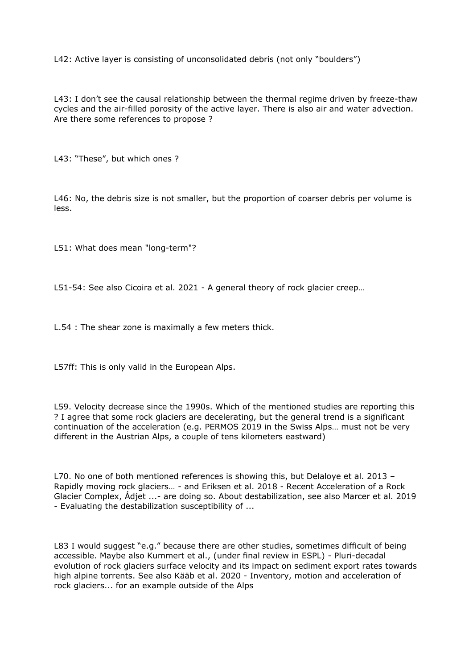L42: Active layer is consisting of unconsolidated debris (not only "boulders")

L43: I don't see the causal relationship between the thermal regime driven by freeze-thaw cycles and the air-filled porosity of the active layer. There is also air and water advection. Are there some references to propose ?

L43: "These", but which ones ?

L46: No, the debris size is not smaller, but the proportion of coarser debris per volume is less.

L51: What does mean "long-term"?

L51-54: See also Cicoira et al. 2021 - A general theory of rock glacier creep…

L.54 : The shear zone is maximally a few meters thick.

L57ff: This is only valid in the European Alps.

L59. Velocity decrease since the 1990s. Which of the mentioned studies are reporting this ? I agree that some rock glaciers are decelerating, but the general trend is a significant continuation of the acceleration (e.g. PERMOS 2019 in the Swiss Alps… must not be very different in the Austrian Alps, a couple of tens kilometers eastward)

L70. No one of both mentioned references is showing this, but Delaloye et al. 2013 – Rapidly moving rock glaciers… - and Eriksen et al. 2018 - Recent Acceleration of a Rock Glacier Complex, Ádjet ...- are doing so. About destabilization, see also Marcer et al. 2019 - Evaluating the destabilization susceptibility of ...

L83 I would suggest "e.g." because there are other studies, sometimes difficult of being accessible. Maybe also Kummert et al., (under final review in ESPL) - Pluri-decadal evolution of rock glaciers surface velocity and its impact on sediment export rates towards high alpine torrents. See also Kääb et al. 2020 - Inventory, motion and acceleration of rock glaciers... for an example outside of the Alps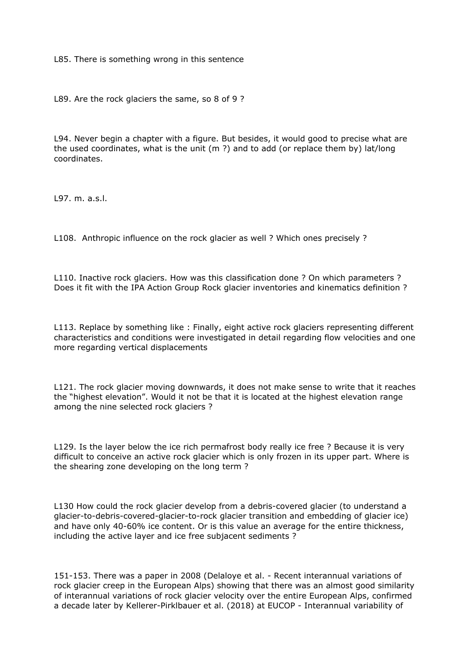L85. There is something wrong in this sentence

L89. Are the rock glaciers the same, so 8 of 9 ?

L94. Never begin a chapter with a figure. But besides, it would good to precise what are the used coordinates, what is the unit (m ?) and to add (or replace them by) lat/long coordinates.

L97. m. a.s.l.

L108. Anthropic influence on the rock glacier as well ? Which ones precisely ?

L110. Inactive rock glaciers. How was this classification done ? On which parameters ? Does it fit with the IPA Action Group Rock glacier inventories and kinematics definition ?

L113. Replace by something like : Finally, eight active rock glaciers representing different characteristics and conditions were investigated in detail regarding flow velocities and one more regarding vertical displacements

L121. The rock glacier moving downwards, it does not make sense to write that it reaches the "highest elevation". Would it not be that it is located at the highest elevation range among the nine selected rock glaciers ?

L129. Is the layer below the ice rich permafrost body really ice free ? Because it is very difficult to conceive an active rock glacier which is only frozen in its upper part. Where is the shearing zone developing on the long term ?

L130 How could the rock glacier develop from a debris-covered glacier (to understand a glacier-to-debris-covered-glacier-to-rock glacier transition and embedding of glacier ice) and have only 40-60% ice content. Or is this value an average for the entire thickness, including the active layer and ice free subjacent sediments ?

151-153. There was a paper in 2008 (Delaloye et al. - Recent interannual variations of rock glacier creep in the European Alps) showing that there was an almost good similarity of interannual variations of rock glacier velocity over the entire European Alps, confirmed a decade later by Kellerer-Pirklbauer et al. (2018) at EUCOP - Interannual variability of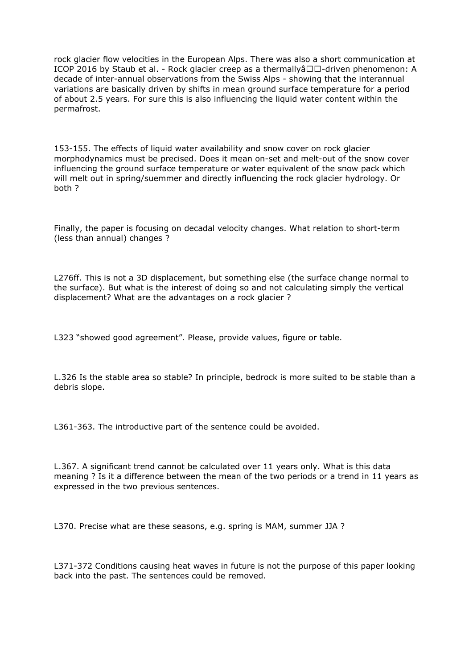rock glacier flow velocities in the European Alps. There was also a short communication at ICOP 2016 by Staub et al. - Rock glacier creep as a thermally  $\frac{1}{2}$  driven phenomenon: A decade of inter-annual observations from the Swiss Alps - showing that the interannual variations are basically driven by shifts in mean ground surface temperature for a period of about 2.5 years. For sure this is also influencing the liquid water content within the permafrost.

153-155. The effects of liquid water availability and snow cover on rock glacier morphodynamics must be precised. Does it mean on-set and melt-out of the snow cover influencing the ground surface temperature or water equivalent of the snow pack which will melt out in spring/suemmer and directly influencing the rock glacier hydrology. Or both ?

Finally, the paper is focusing on decadal velocity changes. What relation to short-term (less than annual) changes ?

L276ff. This is not a 3D displacement, but something else (the surface change normal to the surface). But what is the interest of doing so and not calculating simply the vertical displacement? What are the advantages on a rock glacier ?

L323 "showed good agreement". Please, provide values, figure or table.

L.326 Is the stable area so stable? In principle, bedrock is more suited to be stable than a debris slope.

L361-363. The introductive part of the sentence could be avoided.

L.367. A significant trend cannot be calculated over 11 years only. What is this data meaning ? Is it a difference between the mean of the two periods or a trend in 11 years as expressed in the two previous sentences.

L370. Precise what are these seasons, e.g. spring is MAM, summer JJA ?

L371-372 Conditions causing heat waves in future is not the purpose of this paper looking back into the past. The sentences could be removed.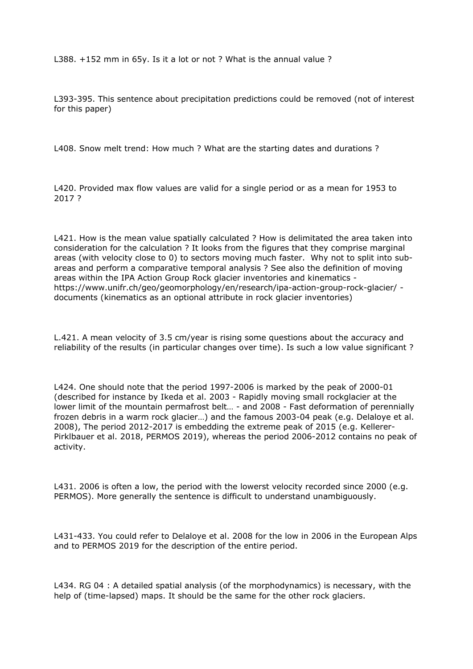L388. +152 mm in 65y. Is it a lot or not ? What is the annual value ?

L393-395. This sentence about precipitation predictions could be removed (not of interest for this paper)

L408. Snow melt trend: How much ? What are the starting dates and durations ?

L420. Provided max flow values are valid for a single period or as a mean for 1953 to 2017 ?

L421. How is the mean value spatially calculated ? How is delimitated the area taken into consideration for the calculation ? It looks from the figures that they comprise marginal areas (with velocity close to 0) to sectors moving much faster. Why not to split into subareas and perform a comparative temporal analysis ? See also the definition of moving areas within the IPA Action Group Rock glacier inventories and kinematics https://www.unifr.ch/geo/geomorphology/en/research/ipa-action-group-rock-glacier/ documents (kinematics as an optional attribute in rock glacier inventories)

L.421. A mean velocity of 3.5 cm/year is rising some questions about the accuracy and reliability of the results (in particular changes over time). Is such a low value significant ?

L424. One should note that the period 1997-2006 is marked by the peak of 2000-01 (described for instance by Ikeda et al. 2003 - Rapidly moving small rockglacier at the lower limit of the mountain permafrost belt… - and 2008 - Fast deformation of perennially frozen debris in a warm rock glacier…) and the famous 2003-04 peak (e.g. Delaloye et al. 2008), The period 2012-2017 is embedding the extreme peak of 2015 (e.g. Kellerer-Pirklbauer et al. 2018, PERMOS 2019), whereas the period 2006-2012 contains no peak of activity.

L431. 2006 is often a low, the period with the lowerst velocity recorded since 2000 (e.g. PERMOS). More generally the sentence is difficult to understand unambiguously.

L431-433. You could refer to Delaloye et al. 2008 for the low in 2006 in the European Alps and to PERMOS 2019 for the description of the entire period.

L434. RG 04 : A detailed spatial analysis (of the morphodynamics) is necessary, with the help of (time-lapsed) maps. It should be the same for the other rock glaciers.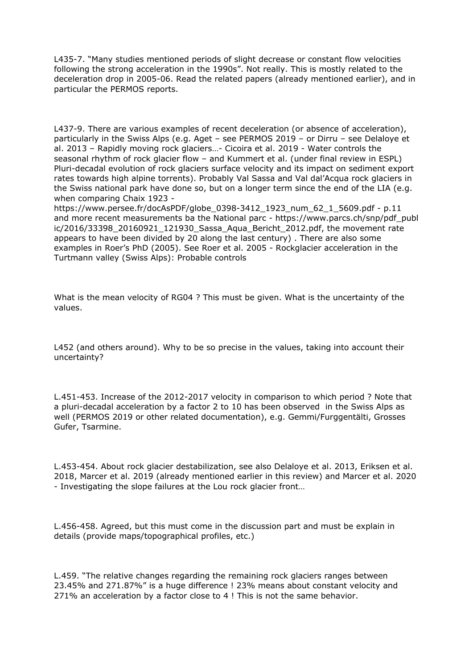L435-7. "Many studies mentioned periods of slight decrease or constant flow velocities following the strong acceleration in the 1990s". Not really. This is mostly related to the deceleration drop in 2005-06. Read the related papers (already mentioned earlier), and in particular the PERMOS reports.

L437-9. There are various examples of recent deceleration (or absence of acceleration), particularly in the Swiss Alps (e.g. Aget – see PERMOS 2019 – or Dirru – see Delaloye et al. 2013 – Rapidly moving rock glaciers…- Cicoira et al. 2019 - Water controls the seasonal rhythm of rock glacier flow – and Kummert et al. (under final review in ESPL) Pluri-decadal evolution of rock glaciers surface velocity and its impact on sediment export rates towards high alpine torrents). Probably Val Sassa and Val dal'Acqua rock glaciers in the Swiss national park have done so, but on a longer term since the end of the LIA (e.g. when comparing Chaix 1923 -

https://www.persee.fr/docAsPDF/globe\_0398-3412\_1923\_num\_62\_1\_5609.pdf - p.11 and more recent measurements ba the National parc - https://www.parcs.ch/snp/pdf\_publ ic/2016/33398\_20160921\_121930\_Sassa\_Aqua\_Bericht\_2012.pdf, the movement rate appears to have been divided by 20 along the last century) . There are also some examples in Roer's PhD (2005). See Roer et al. 2005 - Rockglacier acceleration in the Turtmann valley (Swiss Alps): Probable controls

What is the mean velocity of RG04 ? This must be given. What is the uncertainty of the values.

L452 (and others around). Why to be so precise in the values, taking into account their uncertainty?

L.451-453. Increase of the 2012-2017 velocity in comparison to which period ? Note that a pluri-decadal acceleration by a factor 2 to 10 has been observed in the Swiss Alps as well (PERMOS 2019 or other related documentation), e.g. Gemmi/Furggentälti, Grosses Gufer, Tsarmine.

L.453-454. About rock glacier destabilization, see also Delaloye et al. 2013, Eriksen et al. 2018, Marcer et al. 2019 (already mentioned earlier in this review) and Marcer et al. 2020 - Investigating the slope failures at the Lou rock glacier front…

L.456-458. Agreed, but this must come in the discussion part and must be explain in details (provide maps/topographical profiles, etc.)

L.459. "The relative changes regarding the remaining rock glaciers ranges between 23.45% and 271.87%" is a huge difference ! 23% means about constant velocity and 271% an acceleration by a factor close to 4 ! This is not the same behavior.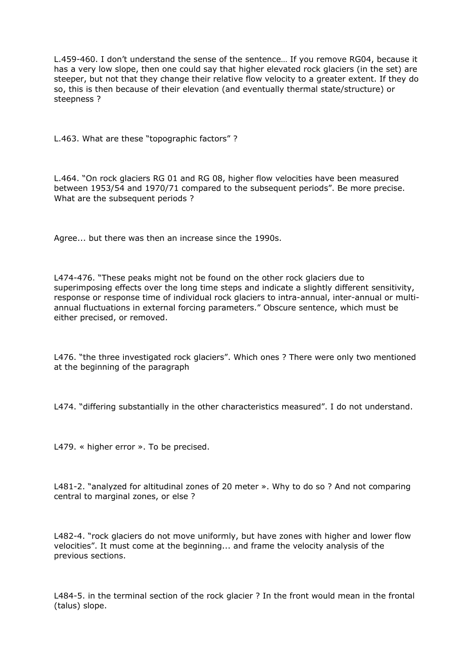L.459-460. I don't understand the sense of the sentence… If you remove RG04, because it has a very low slope, then one could say that higher elevated rock glaciers (in the set) are steeper, but not that they change their relative flow velocity to a greater extent. If they do so, this is then because of their elevation (and eventually thermal state/structure) or steepness ?

L.463. What are these "topographic factors" ?

L.464. "On rock glaciers RG 01 and RG 08, higher flow velocities have been measured between 1953/54 and 1970/71 compared to the subsequent periods". Be more precise. What are the subsequent periods?

Agree... but there was then an increase since the 1990s.

L474-476. "These peaks might not be found on the other rock glaciers due to superimposing effects over the long time steps and indicate a slightly different sensitivity, response or response time of individual rock glaciers to intra-annual, inter-annual or multiannual fluctuations in external forcing parameters." Obscure sentence, which must be either precised, or removed.

L476. "the three investigated rock glaciers". Which ones ? There were only two mentioned at the beginning of the paragraph

L474. "differing substantially in the other characteristics measured". I do not understand.

L479. « higher error ». To be precised.

L481-2. "analyzed for altitudinal zones of 20 meter ». Why to do so ? And not comparing central to marginal zones, or else ?

L482-4. "rock glaciers do not move uniformly, but have zones with higher and lower flow velocities". It must come at the beginning... and frame the velocity analysis of the previous sections.

L484-5. in the terminal section of the rock glacier ? In the front would mean in the frontal (talus) slope.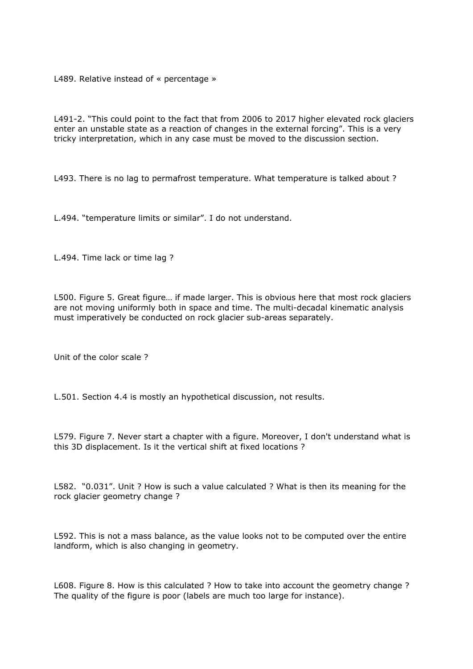L489. Relative instead of « percentage »

L491-2. "This could point to the fact that from 2006 to 2017 higher elevated rock glaciers enter an unstable state as a reaction of changes in the external forcing". This is a very tricky interpretation, which in any case must be moved to the discussion section.

L493. There is no lag to permafrost temperature. What temperature is talked about ?

L.494. "temperature limits or similar". I do not understand.

L.494. Time lack or time lag ?

L500. Figure 5. Great figure… if made larger. This is obvious here that most rock glaciers are not moving uniformly both in space and time. The multi-decadal kinematic analysis must imperatively be conducted on rock glacier sub-areas separately.

Unit of the color scale ?

L.501. Section 4.4 is mostly an hypothetical discussion, not results.

L579. Figure 7. Never start a chapter with a figure. Moreover, I don't understand what is this 3D displacement. Is it the vertical shift at fixed locations ?

L582. "0.031". Unit ? How is such a value calculated ? What is then its meaning for the rock glacier geometry change ?

L592. This is not a mass balance, as the value looks not to be computed over the entire landform, which is also changing in geometry.

L608. Figure 8. How is this calculated ? How to take into account the geometry change ? The quality of the figure is poor (labels are much too large for instance).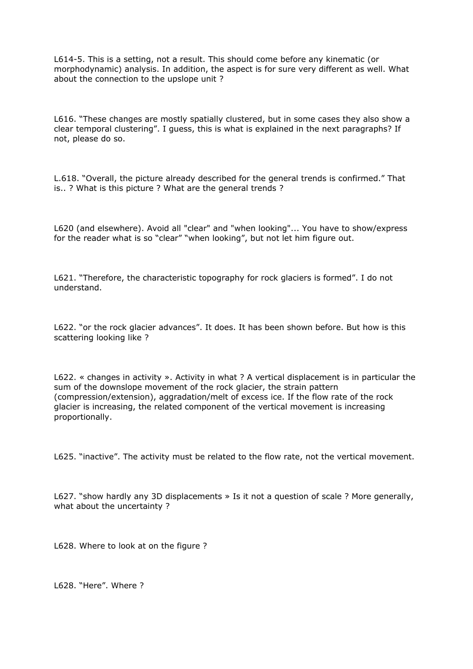L614-5. This is a setting, not a result. This should come before any kinematic (or morphodynamic) analysis. In addition, the aspect is for sure very different as well. What about the connection to the upslope unit ?

L616. "These changes are mostly spatially clustered, but in some cases they also show a clear temporal clustering". I guess, this is what is explained in the next paragraphs? If not, please do so.

L.618. "Overall, the picture already described for the general trends is confirmed." That is.. ? What is this picture ? What are the general trends ?

L620 (and elsewhere). Avoid all "clear" and "when looking"... You have to show/express for the reader what is so "clear" "when looking", but not let him figure out.

L621. "Therefore, the characteristic topography for rock glaciers is formed". I do not understand.

L622. "or the rock glacier advances". It does. It has been shown before. But how is this scattering looking like ?

L622. « changes in activity ». Activity in what ? A vertical displacement is in particular the sum of the downslope movement of the rock glacier, the strain pattern (compression/extension), aggradation/melt of excess ice. If the flow rate of the rock glacier is increasing, the related component of the vertical movement is increasing proportionally.

L625. "inactive". The activity must be related to the flow rate, not the vertical movement.

L627. "show hardly any 3D displacements » Is it not a question of scale ? More generally, what about the uncertainty ?

L628. Where to look at on the figure ?

L628. "Here". Where ?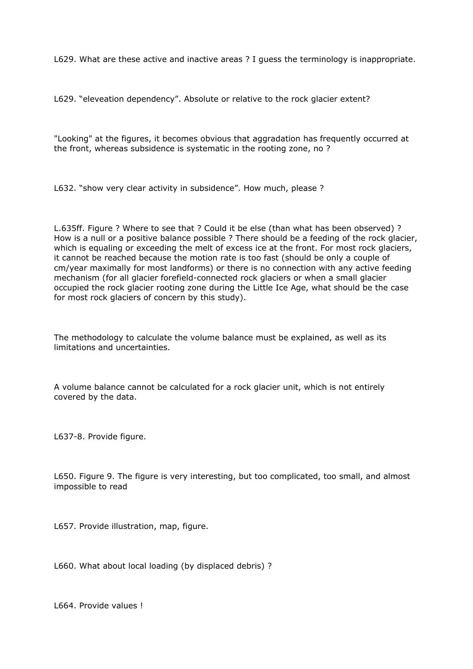L629. What are these active and inactive areas ? I guess the terminology is inappropriate.

L629. "eleveation dependency". Absolute or relative to the rock glacier extent?

"Looking" at the figures, it becomes obvious that aggradation has frequently occurred at the front, whereas subsidence is systematic in the rooting zone, no ?

L632. "show very clear activity in subsidence". How much, please ?

L.635ff. Figure ? Where to see that ? Could it be else (than what has been observed) ? How is a null or a positive balance possible ? There should be a feeding of the rock glacier, which is equaling or exceeding the melt of excess ice at the front. For most rock glaciers, it cannot be reached because the motion rate is too fast (should be only a couple of cm/year maximally for most landforms) or there is no connection with any active feeding mechanism (for all glacier forefield-connected rock glaciers or when a small glacier occupied the rock glacier rooting zone during the Little Ice Age, what should be the case for most rock glaciers of concern by this study).

The methodology to calculate the volume balance must be explained, as well as its limitations and uncertainties.

A volume balance cannot be calculated for a rock glacier unit, which is not entirely covered by the data.

L637-8. Provide figure.

L650. Figure 9. The figure is very interesting, but too complicated, too small, and almost impossible to read

L657. Provide illustration, map, figure.

L660. What about local loading (by displaced debris) ?

L664. Provide values !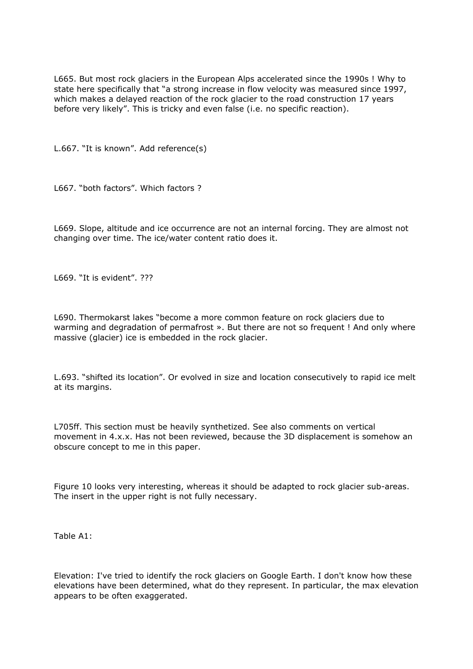L665. But most rock glaciers in the European Alps accelerated since the 1990s ! Why to state here specifically that "a strong increase in flow velocity was measured since 1997, which makes a delayed reaction of the rock glacier to the road construction 17 years before very likely". This is tricky and even false (i.e. no specific reaction).

L.667. "It is known". Add reference(s)

L667. "both factors". Which factors ?

L669. Slope, altitude and ice occurrence are not an internal forcing. They are almost not changing over time. The ice/water content ratio does it.

L669. "It is evident". ???

L690. Thermokarst lakes "become a more common feature on rock glaciers due to warming and degradation of permafrost ». But there are not so frequent ! And only where massive (glacier) ice is embedded in the rock glacier.

L.693. "shifted its location". Or evolved in size and location consecutively to rapid ice melt at its margins.

L705ff. This section must be heavily synthetized. See also comments on vertical movement in 4.x.x. Has not been reviewed, because the 3D displacement is somehow an obscure concept to me in this paper.

Figure 10 looks very interesting, whereas it should be adapted to rock glacier sub-areas. The insert in the upper right is not fully necessary.

Table A1:

Elevation: I've tried to identify the rock glaciers on Google Earth. I don't know how these elevations have been determined, what do they represent. In particular, the max elevation appears to be often exaggerated.